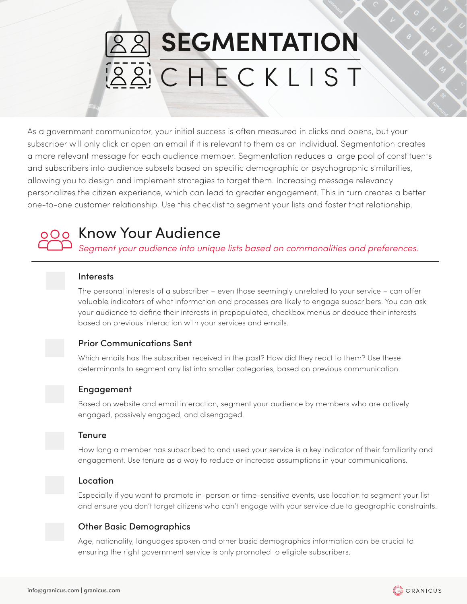# **SEGMENTATION BBCHECKLIST**

As a government communicator, your initial success is often measured in clicks and opens, but your subscriber will only click or open an email if it is relevant to them as an individual. Segmentation creates a more relevant message for each audience member. Segmentation reduces a large pool of constituents and subscribers into audience subsets based on specific demographic or psychographic similarities, allowing you to design and implement strategies to target them. Increasing message relevancy personalizes the citizen experience, which can lead to greater engagement. This in turn creates a better one-to-one customer relationship. Use this checklist to segment your lists and foster that relationship.



## 000 Know Your Audience

*Segment your audience into unique lists based on commonalities and preferences.* 

#### **Interests**

The personal interests of a subscriber – even those seemingly unrelated to your service – can offer valuable indicators of what information and processes are likely to engage subscribers. You can ask your audience to define their interests in prepopulated, checkbox menus or deduce their interests based on previous interaction with your services and emails.

#### Prior Communications Sent

Which emails has the subscriber received in the past? How did they react to them? Use these determinants to segment any list into smaller categories, based on previous communication.

### Engagement

Based on website and email interaction, segment your audience by members who are actively engaged, passively engaged, and disengaged.



#### Tenure

How long a member has subscribed to and used your service is a key indicator of their familiarity and engagement. Use tenure as a way to reduce or increase assumptions in your communications.



#### Location

Especially if you want to promote in-person or time-sensitive events, use location to segment your list and ensure you don't target citizens who can't engage with your service due to geographic constraints.

#### Other Basic Demographics

Age, nationality, languages spoken and other basic demographics information can be crucial to ensuring the right government service is only promoted to eligible subscribers.